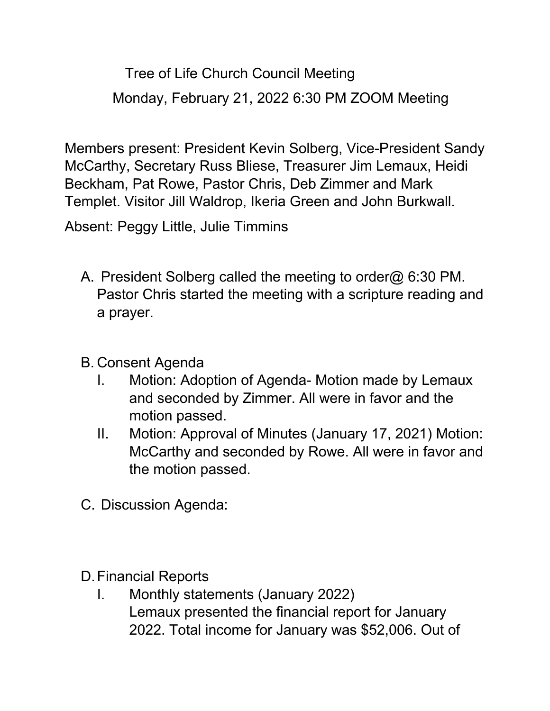Tree of Life Church Council Meeting Monday, February 21, 2022 6:30 PM ZOOM Meeting

Members present: President Kevin Solberg, Vice-President Sandy McCarthy, Secretary Russ Bliese, Treasurer Jim Lemaux, Heidi Beckham, Pat Rowe, Pastor Chris, Deb Zimmer and Mark Templet. Visitor Jill Waldrop, Ikeria Green and John Burkwall.

Absent: Peggy Little, Julie Timmins

- A. President Solberg called the meeting to order@ 6:30 PM. Pastor Chris started the meeting with a scripture reading and a prayer.
- B. Consent Agenda
	- I. Motion: Adoption of Agenda- Motion made by Lemaux and seconded by Zimmer. All were in favor and the motion passed.
	- II. Motion: Approval of Minutes (January 17, 2021) Motion: McCarthy and seconded by Rowe. All were in favor and the motion passed.
- C. Discussion Agenda:

D.Financial Reports

I. Monthly statements (January 2022) Lemaux presented the financial report for January 2022. Total income for January was \$52,006. Out of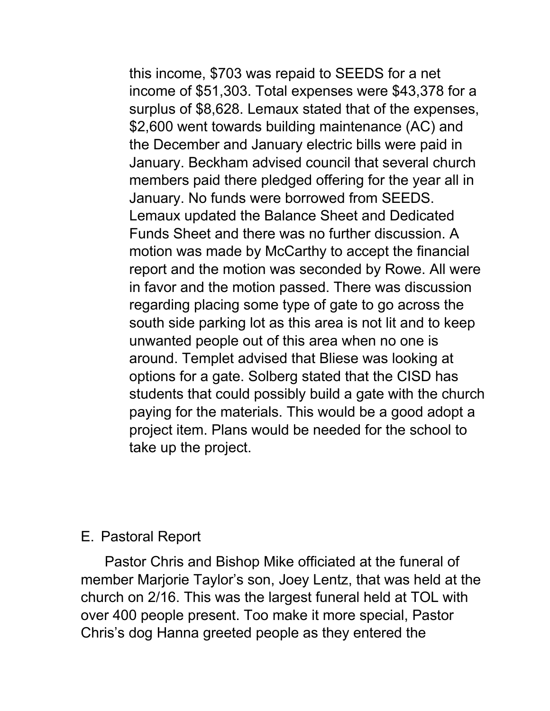this income, \$703 was repaid to SEEDS for a net income of \$51,303. Total expenses were \$43,378 for a surplus of \$8,628. Lemaux stated that of the expenses, \$2,600 went towards building maintenance (AC) and the December and January electric bills were paid in January. Beckham advised council that several church members paid there pledged offering for the year all in January. No funds were borrowed from SEEDS. Lemaux updated the Balance Sheet and Dedicated Funds Sheet and there was no further discussion. A motion was made by McCarthy to accept the financial report and the motion was seconded by Rowe. All were in favor and the motion passed. There was discussion regarding placing some type of gate to go across the south side parking lot as this area is not lit and to keep unwanted people out of this area when no one is around. Templet advised that Bliese was looking at options for a gate. Solberg stated that the CISD has students that could possibly build a gate with the church paying for the materials. This would be a good adopt a project item. Plans would be needed for the school to take up the project.

## E. Pastoral Report

 Pastor Chris and Bishop Mike officiated at the funeral of member Marjorie Taylor's son, Joey Lentz, that was held at the church on 2/16. This was the largest funeral held at TOL with over 400 people present. Too make it more special, Pastor Chris's dog Hanna greeted people as they entered the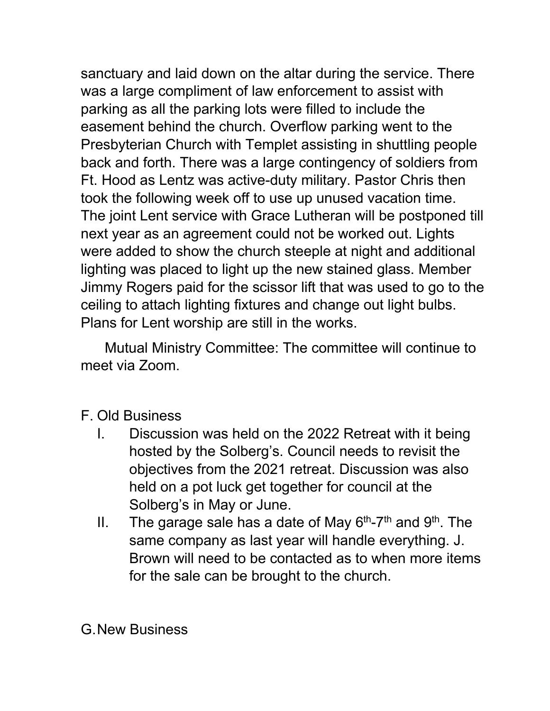sanctuary and laid down on the altar during the service. There was a large compliment of law enforcement to assist with parking as all the parking lots were filled to include the easement behind the church. Overflow parking went to the Presbyterian Church with Templet assisting in shuttling people back and forth. There was a large contingency of soldiers from Ft. Hood as Lentz was active-duty military. Pastor Chris then took the following week off to use up unused vacation time. The joint Lent service with Grace Lutheran will be postponed till next year as an agreement could not be worked out. Lights were added to show the church steeple at night and additional lighting was placed to light up the new stained glass. Member Jimmy Rogers paid for the scissor lift that was used to go to the ceiling to attach lighting fixtures and change out light bulbs. Plans for Lent worship are still in the works.

 Mutual Ministry Committee: The committee will continue to meet via Zoom.

## F. Old Business

- I. Discussion was held on the 2022 Retreat with it being hosted by the Solberg's. Council needs to revisit the objectives from the 2021 retreat. Discussion was also held on a pot luck get together for council at the Solberg's in May or June.
- II. The garage sale has a date of May  $6<sup>th</sup>$ -7<sup>th</sup> and  $9<sup>th</sup>$ . The same company as last year will handle everything. J. Brown will need to be contacted as to when more items for the sale can be brought to the church.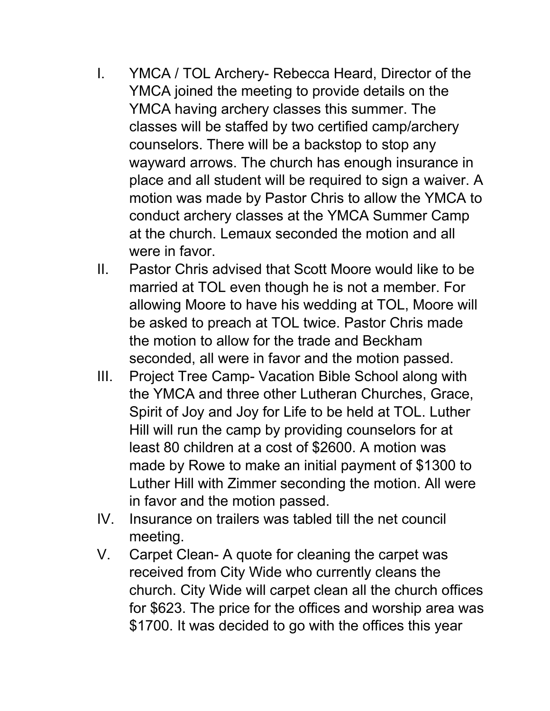- I. YMCA / TOL Archery- Rebecca Heard, Director of the YMCA joined the meeting to provide details on the YMCA having archery classes this summer. The classes will be staffed by two certified camp/archery counselors. There will be a backstop to stop any wayward arrows. The church has enough insurance in place and all student will be required to sign a waiver. A motion was made by Pastor Chris to allow the YMCA to conduct archery classes at the YMCA Summer Camp at the church. Lemaux seconded the motion and all were in favor.
- II. Pastor Chris advised that Scott Moore would like to be married at TOL even though he is not a member. For allowing Moore to have his wedding at TOL, Moore will be asked to preach at TOL twice. Pastor Chris made the motion to allow for the trade and Beckham seconded, all were in favor and the motion passed.
- III. Project Tree Camp- Vacation Bible School along with the YMCA and three other Lutheran Churches, Grace, Spirit of Joy and Joy for Life to be held at TOL. Luther Hill will run the camp by providing counselors for at least 80 children at a cost of \$2600. A motion was made by Rowe to make an initial payment of \$1300 to Luther Hill with Zimmer seconding the motion. All were in favor and the motion passed.
- IV. Insurance on trailers was tabled till the net council meeting.
- V. Carpet Clean- A quote for cleaning the carpet was received from City Wide who currently cleans the church. City Wide will carpet clean all the church offices for \$623. The price for the offices and worship area was \$1700. It was decided to go with the offices this year